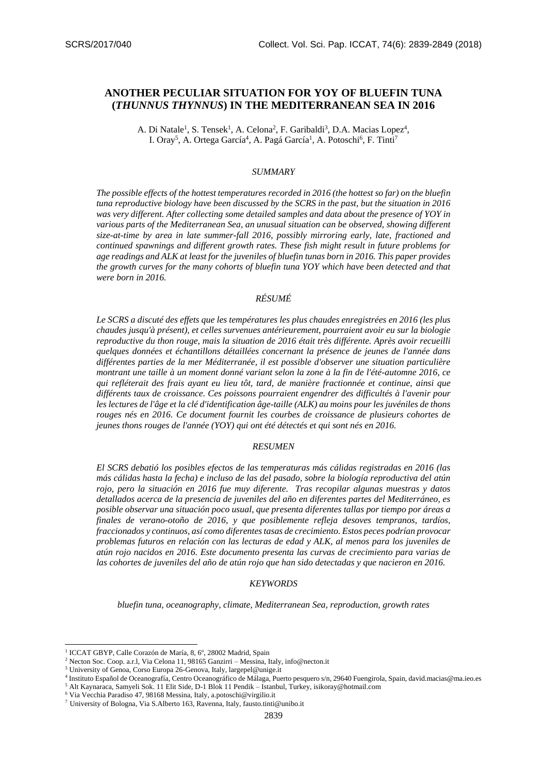# **ANOTHER PECULIAR SITUATION FOR YOY OF BLUEFIN TUNA (***THUNNUS THYNNUS***) IN THE MEDITERRANEAN SEA IN 2016**

A. Di Natale<sup>1</sup>, S. Tensek<sup>1</sup>, A. Celona<sup>2</sup>, F. Garibaldi<sup>3</sup>, D.A. Macias Lopez<sup>4</sup>, I. Oray<sup>5</sup>, A. Ortega García<sup>4</sup>, A. Pagá García<sup>1</sup>, A. Potoschi<sup>6</sup>, F. Tinti<sup>7</sup>

#### *SUMMARY*

*The possible effects of the hottest temperatures recorded in 2016 (the hottest so far) on the bluefin tuna reproductive biology have been discussed by the SCRS in the past, but the situation in 2016 was very different. After collecting some detailed samples and data about the presence of YOY in various parts of the Mediterranean Sea, an unusual situation can be observed, showing different size-at-time by area in late summer-fall 2016, possibly mirroring early, late, fractioned and continued spawnings and different growth rates. These fish might result in future problems for age readings and ALK at least for the juveniles of bluefin tunas born in 2016. This paper provides the growth curves for the many cohorts of bluefin tuna YOY which have been detected and that were born in 2016.*

# *RÉSUMÉ*

*Le SCRS a discuté des effets que les températures les plus chaudes enregistrées en 2016 (les plus chaudes jusqu'à présent), et celles survenues antérieurement, pourraient avoir eu sur la biologie reproductive du thon rouge, mais la situation de 2016 était très différente. Après avoir recueilli quelques données et échantillons détaillées concernant la présence de jeunes de l'année dans différentes parties de la mer Méditerranée, il est possible d'observer une situation particulière montrant une taille à un moment donné variant selon la zone à la fin de l'été-automne 2016, ce qui refléterait des frais ayant eu lieu tôt, tard, de manière fractionnée et continue, ainsi que différents taux de croissance. Ces poissons pourraient engendrer des difficultés à l'avenir pour les lectures de l'âge et la clé d'identification âge-taille (ALK) au moins pour les juvéniles de thons rouges nés en 2016. Ce document fournit les courbes de croissance de plusieurs cohortes de jeunes thons rouges de l'année (YOY) qui ont été détectés et qui sont nés en 2016.*

#### *RESUMEN*

*El SCRS debatió los posibles efectos de las temperaturas más cálidas registradas en 2016 (las más cálidas hasta la fecha) e incluso de las del pasado, sobre la biología reproductiva del atún rojo, pero la situación en 2016 fue muy diferente. Tras recopilar algunas muestras y datos detallados acerca de la presencia de juveniles del año en diferentes partes del Mediterráneo, es posible observar una situación poco usual, que presenta diferentes tallas por tiempo por áreas a finales de verano-otoño de 2016, y que posiblemente refleja desoves tempranos, tardíos, fraccionados y continuos, así como diferentes tasas de crecimiento. Estos peces podrían provocar problemas futuros en relación con las lecturas de edad y ALK, al menos para los juveniles de atún rojo nacidos en 2016. Este documento presenta las curvas de crecimiento para varias de las cohortes de juveniles del año de atún rojo que han sido detectadas y que nacieron en 2016.*

#### *KEYWORDS*

*bluefin tuna, oceanography, climate, Mediterranean Sea, reproduction, growth rates*

-

<sup>&</sup>lt;sup>1</sup> ICCAT GBYP, Calle Corazón de María, 8, 6°, 28002 Madrid, Spain

<sup>2</sup> Necton Soc. Coop. a.r.l, Via Celona 11, 98165 Ganzirri – Messina, Italy, info@necton.it

<sup>&</sup>lt;sup>3</sup> University of Genoa, Corso Europa 26-Genova, Italy, largepel@unige.it

<sup>4</sup> Instituto Español de Oceanografía, Centro Oceanográfico de Málaga, Puerto pesquero s/n, 29640 Fuengirola, Spain, david.macias@ma.ieo.es <sup>5</sup> Alt Kaynaraca, Samyeli Sok. 11 Elit Side, D-1 Blok 11 Pendik – Istanbul, Turkey, isikoray@hotmail.com

<sup>6</sup> Via Vecchia Paradiso 47, 98168 Messina, Italy, a.potoschi@virgilio.it

<sup>7</sup> University of Bologna, Via S.Alberto 163, Ravenna, Italy, fausto.tinti@unibo.it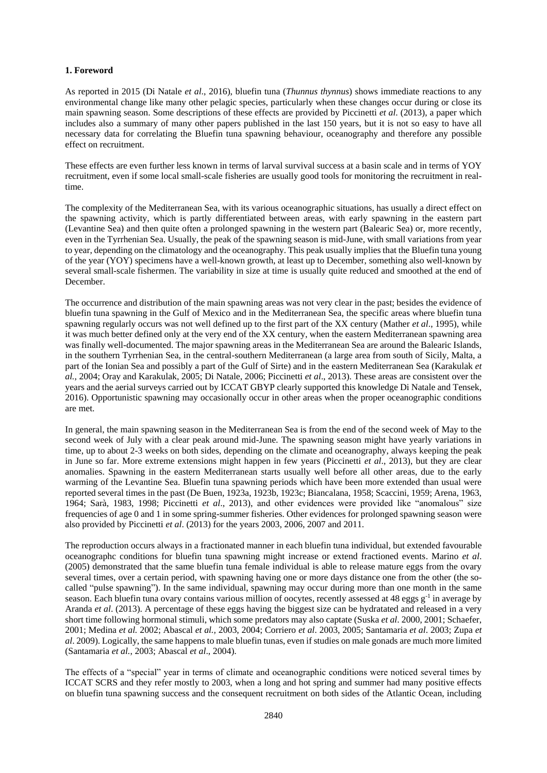## **1. Foreword**

As reported in 2015 (Di Natale *et al*., 2016), bluefin tuna (*Thunnus thynnus*) shows immediate reactions to any environmental change like many other pelagic species, particularly when these changes occur during or close its main spawning season. Some descriptions of these effects are provided by Piccinetti *et al*. (2013), a paper which includes also a summary of many other papers published in the last 150 years, but it is not so easy to have all necessary data for correlating the Bluefin tuna spawning behaviour, oceanography and therefore any possible effect on recruitment.

These effects are even further less known in terms of larval survival success at a basin scale and in terms of YOY recruitment, even if some local small-scale fisheries are usually good tools for monitoring the recruitment in realtime.

The complexity of the Mediterranean Sea, with its various oceanographic situations, has usually a direct effect on the spawning activity, which is partly differentiated between areas, with early spawning in the eastern part (Levantine Sea) and then quite often a prolonged spawning in the western part (Balearic Sea) or, more recently, even in the Tyrrhenian Sea. Usually, the peak of the spawning season is mid-June, with small variations from year to year, depending on the climatology and the oceanography. This peak usually implies that the Bluefin tuna young of the year (YOY) specimens have a well-known growth, at least up to December, something also well-known by several small-scale fishermen. The variability in size at time is usually quite reduced and smoothed at the end of December.

The occurrence and distribution of the main spawning areas was not very clear in the past; besides the evidence of bluefin tuna spawning in the Gulf of Mexico and in the Mediterranean Sea, the specific areas where bluefin tuna spawning regularly occurs was not well defined up to the first part of the XX century (Mather *et al*., 1995), while it was much better defined only at the very end of the XX century, when the eastern Mediterranean spawning area was finally well-documented. The major spawning areas in the Mediterranean Sea are around the Balearic Islands, in the southern Tyrrhenian Sea, in the central-southern Mediterranean (a large area from south of Sicily, Malta, a part of the Ionian Sea and possibly a part of the Gulf of Sirte) and in the eastern Mediterranean Sea (Karakulak *et al.*, 2004; Oray and Karakulak, 2005; Di Natale, 2006; Piccinetti *et al*., 2013). These areas are consistent over the years and the aerial surveys carried out by ICCAT GBYP clearly supported this knowledge Di Natale and Tensek, 2016). Opportunistic spawning may occasionally occur in other areas when the proper oceanographic conditions are met.

In general, the main spawning season in the Mediterranean Sea is from the end of the second week of May to the second week of July with a clear peak around mid-June. The spawning season might have yearly variations in time, up to about 2-3 weeks on both sides, depending on the climate and oceanography, always keeping the peak in June so far. More extreme extensions might happen in few years (Piccinetti *et al*., 2013), but they are clear anomalies. Spawning in the eastern Mediterranean starts usually well before all other areas, due to the early warming of the Levantine Sea. Bluefin tuna spawning periods which have been more extended than usual were reported several times in the past (De Buen, 1923a, 1923b, 1923c; Biancalana, 1958; Scaccini, 1959; Arena, 1963, 1964; Sarà, 1983, 1998; Piccinetti *et al*., 2013), and other evidences were provided like "anomalous" size frequencies of age 0 and 1 in some spring-summer fisheries. Other evidences for prolonged spawning season were also provided by Piccinetti *et al*. (2013) for the years 2003, 2006, 2007 and 2011.

The reproduction occurs always in a fractionated manner in each bluefin tuna individual, but extended favourable oceanographc conditions for bluefin tuna spawning might increase or extend fractioned events. Marino *et al*. (2005) demonstrated that the same bluefin tuna female individual is able to release mature eggs from the ovary several times, over a certain period, with spawning having one or more days distance one from the other (the socalled "pulse spawning"). In the same individual, spawning may occur during more than one month in the same season. Each bluefin tuna ovary contains various million of oocytes, recently assessed at 48 eggs  $g^{-1}$  in average by Aranda *et al*. (2013). A percentage of these eggs having the biggest size can be hydratated and released in a very short time following hormonal stimuli, which some predators may also captate (Suska *et al*. 2000, 2001; Schaefer, 2001; Medina *et al.* 2002; Abascal *et al.,* 2003, 2004; Corriero *et al*. 2003, 2005; Santamaria *et al*. 2003; Zupa *et al*. 2009). Logically, the same happens to male bluefin tunas, even if studies on male gonads are much more limited (Santamaria *et al.*, 2003; Abascal *et al*., 2004).

The effects of a "special" year in terms of climate and oceanographic conditions were noticed several times by ICCAT SCRS and they refer mostly to 2003, when a long and hot spring and summer had many positive effects on bluefin tuna spawning success and the consequent recruitment on both sides of the Atlantic Ocean, including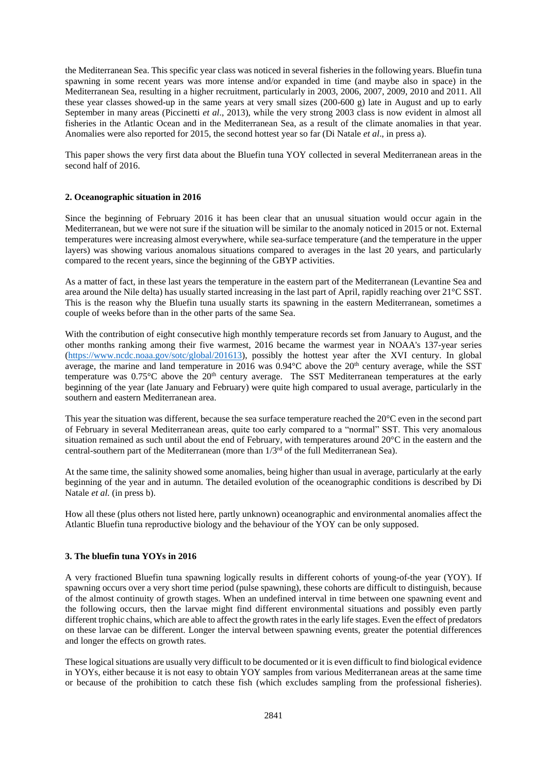the Mediterranean Sea. This specific year class was noticed in several fisheries in the following years. Bluefin tuna spawning in some recent years was more intense and/or expanded in time (and maybe also in space) in the Mediterranean Sea, resulting in a higher recruitment, particularly in 2003, 2006, 2007, 2009, 2010 and 2011. All these year classes showed-up in the same years at very small sizes (200-600 g) late in August and up to early September in many areas (Piccinetti *et al*., 2013), while the very strong 2003 class is now evident in almost all fisheries in the Atlantic Ocean and in the Mediterranean Sea, as a result of the climate anomalies in that year. Anomalies were also reported for 2015, the second hottest year so far (Di Natale *et al*., in press a).

This paper shows the very first data about the Bluefin tuna YOY collected in several Mediterranean areas in the second half of 2016.

## **2. Oceanographic situation in 2016**

Since the beginning of February 2016 it has been clear that an unusual situation would occur again in the Mediterranean, but we were not sure if the situation will be similar to the anomaly noticed in 2015 or not. External temperatures were increasing almost everywhere, while sea-surface temperature (and the temperature in the upper layers) was showing various anomalous situations compared to averages in the last 20 years, and particularly compared to the recent years, since the beginning of the GBYP activities.

As a matter of fact, in these last years the temperature in the eastern part of the Mediterranean (Levantine Sea and area around the Nile delta) has usually started increasing in the last part of April, rapidly reaching over 21°C SST. This is the reason why the Bluefin tuna usually starts its spawning in the eastern Mediterranean, sometimes a couple of weeks before than in the other parts of the same Sea.

With the contribution of eight consecutive high monthly temperature records set from January to August, and the other months ranking among their five warmest, 2016 became the warmest year in NOAA's 137-year series [\(https://www.ncdc.noaa.gov/sotc/global/201613\)](https://www.ncdc.noaa.gov/sotc/global/201613), possibly the hottest year after the XVI century. In global average, the marine and land temperature in 2016 was  $0.94^{\circ}$ C above the  $20^{\text{th}}$  century average, while the SST temperature was 0.75°C above the 20<sup>th</sup> century average. The SST Mediterranean temperatures at the early beginning of the year (late January and February) were quite high compared to usual average, particularly in the southern and eastern Mediterranean area.

This year the situation was different, because the sea surface temperature reached the 20°C even in the second part of February in several Mediterranean areas, quite too early compared to a "normal" SST. This very anomalous situation remained as such until about the end of February, with temperatures around 20°C in the eastern and the central-southern part of the Mediterranean (more than  $1/3<sup>rd</sup>$  of the full Mediterranean Sea).

At the same time, the salinity showed some anomalies, being higher than usual in average, particularly at the early beginning of the year and in autumn. The detailed evolution of the oceanographic conditions is described by Di Natale *et al.* (in press b).

How all these (plus others not listed here, partly unknown) oceanographic and environmental anomalies affect the Atlantic Bluefin tuna reproductive biology and the behaviour of the YOY can be only supposed.

## **3. The bluefin tuna YOYs in 2016**

A very fractioned Bluefin tuna spawning logically results in different cohorts of young-of-the year (YOY). If spawning occurs over a very short time period (pulse spawning), these cohorts are difficult to distinguish, because of the almost continuity of growth stages. When an undefined interval in time between one spawning event and the following occurs, then the larvae might find different environmental situations and possibly even partly different trophic chains, which are able to affect the growth rates in the early life stages. Even the effect of predators on these larvae can be different. Longer the interval between spawning events, greater the potential differences and longer the effects on growth rates.

These logical situations are usually very difficult to be documented or it is even difficult to find biological evidence in YOYs, either because it is not easy to obtain YOY samples from various Mediterranean areas at the same time or because of the prohibition to catch these fish (which excludes sampling from the professional fisheries).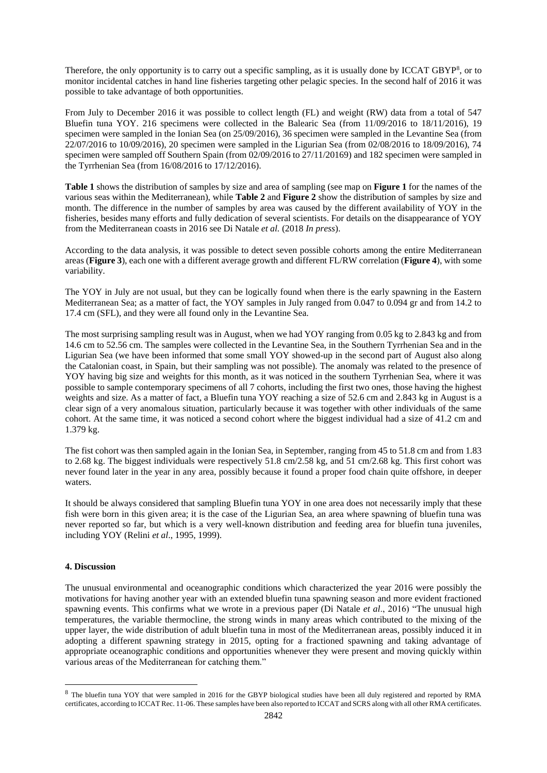Therefore, the only opportunity is to carry out a specific sampling, as it is usually done by ICCAT GBYP<sup>8</sup>, or to monitor incidental catches in hand line fisheries targeting other pelagic species. In the second half of 2016 it was possible to take advantage of both opportunities.

From July to December 2016 it was possible to collect length (FL) and weight (RW) data from a total of 547 Bluefin tuna YOY. 216 specimens were collected in the Balearic Sea (from 11/09/2016 to 18/11/2016), 19 specimen were sampled in the Ionian Sea (on 25/09/2016), 36 specimen were sampled in the Levantine Sea (from 22/07/2016 to 10/09/2016), 20 specimen were sampled in the Ligurian Sea (from 02/08/2016 to 18/09/2016), 74 specimen were sampled off Southern Spain (from 02/09/2016 to 27/11/20169) and 182 specimen were sampled in the Tyrrhenian Sea (from 16/08/2016 to 17/12/2016).

**Table 1** shows the distribution of samples by size and area of sampling (see map on **Figure 1** for the names of the various seas within the Mediterranean), while **Table 2** and **Figure 2** show the distribution of samples by size and month. The difference in the number of samples by area was caused by the different availability of YOY in the fisheries, besides many efforts and fully dedication of several scientists. For details on the disappearance of YOY from the Mediterranean coasts in 2016 see Di Natale *et al.* (2018 *In press*).

According to the data analysis, it was possible to detect seven possible cohorts among the entire Mediterranean areas (**Figure 3**), each one with a different average growth and different FL/RW correlation (**Figure 4**), with some variability.

The YOY in July are not usual, but they can be logically found when there is the early spawning in the Eastern Mediterranean Sea; as a matter of fact, the YOY samples in July ranged from 0.047 to 0.094 gr and from 14.2 to 17.4 cm (SFL), and they were all found only in the Levantine Sea.

The most surprising sampling result was in August, when we had YOY ranging from 0.05 kg to 2.843 kg and from 14.6 cm to 52.56 cm. The samples were collected in the Levantine Sea, in the Southern Tyrrhenian Sea and in the Ligurian Sea (we have been informed that some small YOY showed-up in the second part of August also along the Catalonian coast, in Spain, but their sampling was not possible). The anomaly was related to the presence of YOY having big size and weights for this month, as it was noticed in the southern Tyrrhenian Sea, where it was possible to sample contemporary specimens of all 7 cohorts, including the first two ones, those having the highest weights and size. As a matter of fact, a Bluefin tuna YOY reaching a size of 52.6 cm and 2.843 kg in August is a clear sign of a very anomalous situation, particularly because it was together with other individuals of the same cohort. At the same time, it was noticed a second cohort where the biggest individual had a size of 41.2 cm and 1.379 kg.

The fist cohort was then sampled again in the Ionian Sea, in September, ranging from 45 to 51.8 cm and from 1.83 to 2.68 kg. The biggest individuals were respectively 51.8 cm/2.58 kg, and 51 cm/2.68 kg. This first cohort was never found later in the year in any area, possibly because it found a proper food chain quite offshore, in deeper waters.

It should be always considered that sampling Bluefin tuna YOY in one area does not necessarily imply that these fish were born in this given area; it is the case of the Ligurian Sea, an area where spawning of bluefin tuna was never reported so far, but which is a very well-known distribution and feeding area for bluefin tuna juveniles, including YOY (Relini *et al*., 1995, 1999).

## **4. Discussion**

1

The unusual environmental and oceanographic conditions which characterized the year 2016 were possibly the motivations for having another year with an extended bluefin tuna spawning season and more evident fractioned spawning events. This confirms what we wrote in a previous paper (Di Natale *et al*., 2016) "The unusual high temperatures, the variable thermocline, the strong winds in many areas which contributed to the mixing of the upper layer, the wide distribution of adult bluefin tuna in most of the Mediterranean areas, possibly induced it in adopting a different spawning strategy in 2015, opting for a fractioned spawning and taking advantage of appropriate oceanographic conditions and opportunities whenever they were present and moving quickly within various areas of the Mediterranean for catching them."

<sup>&</sup>lt;sup>8</sup> The bluefin tuna YOY that were sampled in 2016 for the GBYP biological studies have been all duly registered and reported by RMA certificates, according to ICCAT Rec. 11-06. These samples have been also reported to ICCAT and SCRS along with all other RMA certificates.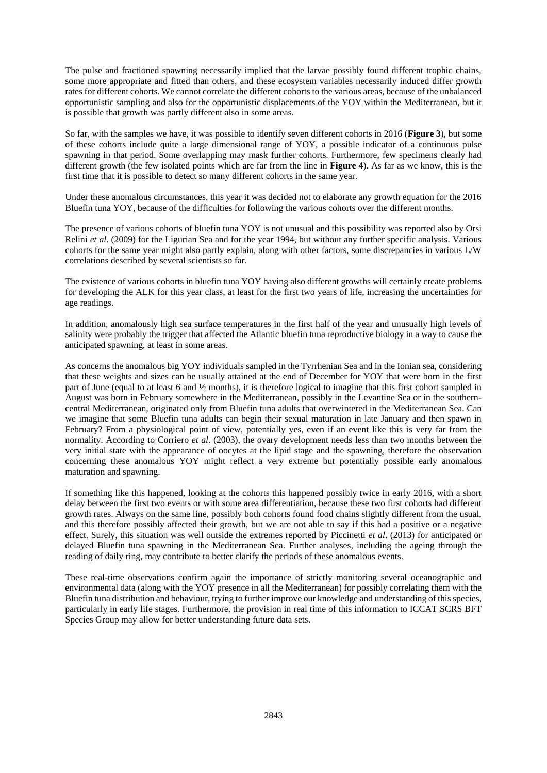The pulse and fractioned spawning necessarily implied that the larvae possibly found different trophic chains, some more appropriate and fitted than others, and these ecosystem variables necessarily induced differ growth rates for different cohorts. We cannot correlate the different cohorts to the various areas, because of the unbalanced opportunistic sampling and also for the opportunistic displacements of the YOY within the Mediterranean, but it is possible that growth was partly different also in some areas.

So far, with the samples we have, it was possible to identify seven different cohorts in 2016 (**Figure 3**), but some of these cohorts include quite a large dimensional range of YOY, a possible indicator of a continuous pulse spawning in that period. Some overlapping may mask further cohorts. Furthermore, few specimens clearly had different growth (the few isolated points which are far from the line in **Figure 4**). As far as we know, this is the first time that it is possible to detect so many different cohorts in the same year.

Under these anomalous circumstances, this year it was decided not to elaborate any growth equation for the 2016 Bluefin tuna YOY, because of the difficulties for following the various cohorts over the different months.

The presence of various cohorts of bluefin tuna YOY is not unusual and this possibility was reported also by Orsi Relini *et al*. (2009) for the Ligurian Sea and for the year 1994, but without any further specific analysis. Various cohorts for the same year might also partly explain, along with other factors, some discrepancies in various L/W correlations described by several scientists so far.

The existence of various cohorts in bluefin tuna YOY having also different growths will certainly create problems for developing the ALK for this year class, at least for the first two years of life, increasing the uncertainties for age readings.

In addition, anomalously high sea surface temperatures in the first half of the year and unusually high levels of salinity were probably the trigger that affected the Atlantic bluefin tuna reproductive biology in a way to cause the anticipated spawning, at least in some areas.

As concerns the anomalous big YOY individuals sampled in the Tyrrhenian Sea and in the Ionian sea, considering that these weights and sizes can be usually attained at the end of December for YOY that were born in the first part of June (equal to at least 6 and ½ months), it is therefore logical to imagine that this first cohort sampled in August was born in February somewhere in the Mediterranean, possibly in the Levantine Sea or in the southerncentral Mediterranean, originated only from Bluefin tuna adults that overwintered in the Mediterranean Sea. Can we imagine that some Bluefin tuna adults can begin their sexual maturation in late January and then spawn in February? From a physiological point of view, potentially yes, even if an event like this is very far from the normality. According to Corriero *et al*. (2003), the ovary development needs less than two months between the very initial state with the appearance of oocytes at the lipid stage and the spawning, therefore the observation concerning these anomalous YOY might reflect a very extreme but potentially possible early anomalous maturation and spawning.

If something like this happened, looking at the cohorts this happened possibly twice in early 2016, with a short delay between the first two events or with some area differentiation, because these two first cohorts had different growth rates. Always on the same line, possibly both cohorts found food chains slightly different from the usual, and this therefore possibly affected their growth, but we are not able to say if this had a positive or a negative effect. Surely, this situation was well outside the extremes reported by Piccinetti *et al*. (2013) for anticipated or delayed Bluefin tuna spawning in the Mediterranean Sea. Further analyses, including the ageing through the reading of daily ring, may contribute to better clarify the periods of these anomalous events.

These real-time observations confirm again the importance of strictly monitoring several oceanographic and environmental data (along with the YOY presence in all the Mediterranean) for possibly correlating them with the Bluefin tuna distribution and behaviour, trying to further improve our knowledge and understanding of this species, particularly in early life stages. Furthermore, the provision in real time of this information to ICCAT SCRS BFT Species Group may allow for better understanding future data sets.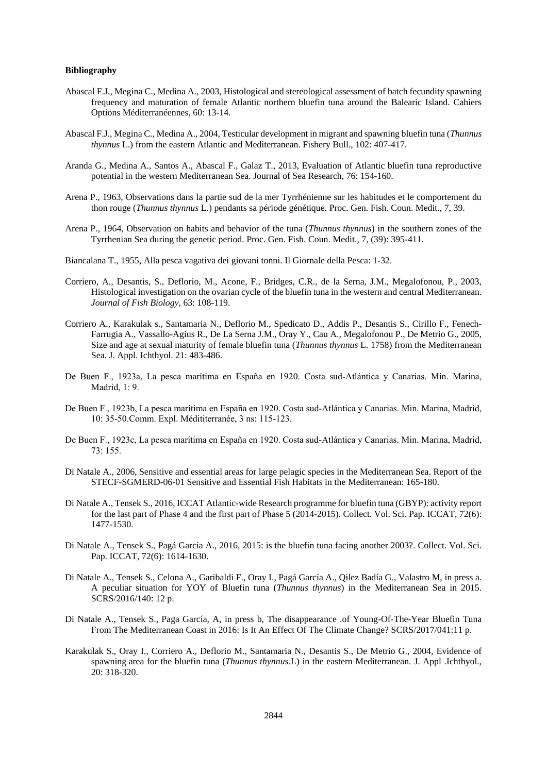#### **Bibliography**

- Abascal F.J., Megina C., Medina A., 2003, Histological and stereological assessment of batch fecundity spawning frequency and maturation of female Atlantic northern bluefin tuna around the Balearic Island. Cahiers Options Méditerranéennes, 60: 13-14.
- Abascal F.J., Megina C., Medina A., 2004, Testicular development in migrant and spawning bluefin tuna (*Thunnus thynnus* L.) from the eastern Atlantic and Mediterranean. Fishery Bull., 102: 407-417.
- Aranda G., Medina A., Santos A., Abascal F., Galaz T., 2013, Evaluation of Atlantic bluefin tuna reproductive potential in the western Mediterranean Sea. Journal of Sea Research, 76: 154-160.
- Arena P., 1963, Observations dans la partie sud de la mer Tyrrhénienne sur les habitudes et le comportement du thon rouge (*Thunnus thynnus* L.) pendants sa période génétique. Proc. Gen. Fish. Coun. Medit., 7, 39.
- Arena P., 1964, Observation on habits and behavior of the tuna (*Thunnus thynnus*) in the southern zones of the Tyrrhenian Sea during the genetic period. Proc. Gen. Fish. Coun. Medit., 7, (39): 395-411.
- Biancalana T., 1955, Alla pesca vagativa dei giovani tonni. Il Giornale della Pesca: 1-32.
- Corriero, A., Desantis, S., Deflorio, M., Acone, F., Bridges, C.R., de la Serna, J.M., Megalofonou, P., 2003, Histological investigation on the ovarian cycle of the bluefin tuna in the western and central Mediterranean. *Journal of Fish Biology*, 63: 108-119.
- Corriero A., Karakulak s., Santamaria N., Deflorio M., Spedicato D., Addis P., Desantis S., Cirillo F., Fenech-Farrugia A., Vassallo-Agius R., De La Serna J.M., Oray Y., Cau A., Megalofonou P., De Metrio G., 2005, Size and age at sexual maturity of female bluefin tuna (*Thunnus thynnus* L. 1758) from the Mediterranean Sea. J. Appl. Ichthyol. 21: 483-486.
- De Buen F., 1923a, La pesca marítima en España en 1920. Costa sud-Atlántica y Canarias. Min. Marina, Madrid, 1: 9.
- De Buen F., 1923b, La pesca marítima en España en 1920. Costa sud-Atlántica y Canarias. Min. Marina, Madrid, 10: 35-50.Comm. Expl. Médititerranée, 3 ns: 115-123.
- De Buen F., 1923c, La pesca marítima en España en 1920. Costa sud-Atlántica y Canarias. Min. Marina, Madrid, 73: 155.
- Di Natale A., 2006, Sensitive and essential areas for large pelagic species in the Mediterranean Sea. Report of the STECF-SGMERD-06-01 Sensitive and Essential Fish Habitats in the Mediterranean: 165-180.
- Di Natale A., Tensek S., 2016, ICCAT Atlantic-wide Research programme for bluefin tuna (GBYP): activity report for the last part of Phase 4 and the first part of Phase 5 (2014-2015). Collect. Vol. Sci. Pap. ICCAT, 72(6): 1477-1530.
- Di Natale A., Tensek S., Pagá Garcia A., 2016, 2015: is the bluefin tuna facing another 2003?. Collect. Vol. Sci. Pap. ICCAT, 72(6): 1614-1630.
- Di Natale A., Tensek S., Celona A., Garibaldi F., Oray I., Pagá García A., Qilez Badía G., Valastro M, in press a. A peculiar situation for YOY of Bluefin tuna (*Thunnus thynnus*) in the Mediterranean Sea in 2015. SCRS/2016/140: 12 p.
- Di Natale A., Tensek S., Paga García, A, in press b, The disappearance .of Young-Of-The-Year Bluefin Tuna From The Mediterranean Coast in 2016: Is It An Effect Of The Climate Change? SCRS/2017/041:11 p.
- Karakulak S., Oray I., Corriero A., Deflorio M., Santamaria N., Desantis S., De Metrio G., 2004, Evidence of spawning area for the bluefin tuna (*Thunnus thynnus*.L) in the eastern Mediterranean. J. Appl .Ichthyol., 20: 318-320.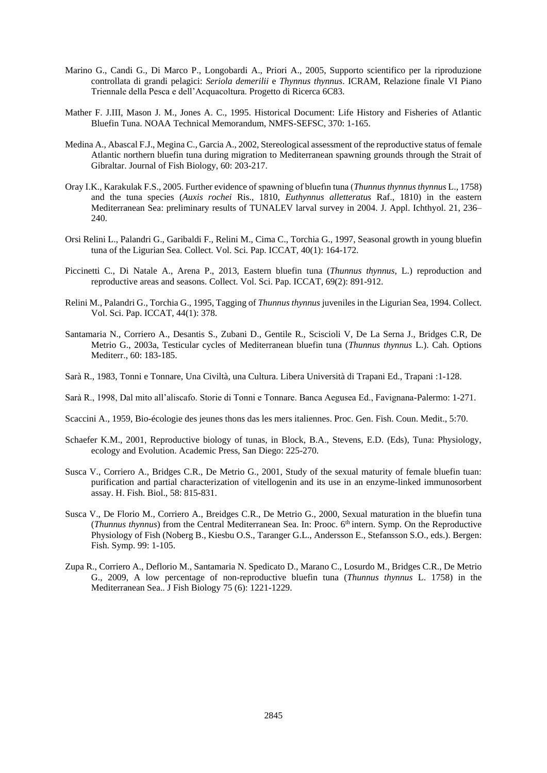- Marino G., Candi G., Di Marco P., Longobardi A., Priori A., 2005, Supporto scientifico per la riproduzione controllata di grandi pelagici: *Seriola demerilii* e *Thynnus thynnus*. ICRAM, Relazione finale VI Piano Triennale della Pesca e dell'Acquacoltura. Progetto di Ricerca 6C83.
- Mather F. J.III, Mason J. M., Jones A. C., 1995. Historical Document: Life History and Fisheries of Atlantic Bluefin Tuna. NOAA Technical Memorandum, NMFS-SEFSC, 370: 1-165.
- Medina A., Abascal F.J., Megina C., Garcia A., 2002, Stereological assessment of the reproductive status of female Atlantic northern bluefin tuna during migration to Mediterranean spawning grounds through the Strait of Gibraltar. Journal of Fish Biology, 60: 203-217.
- Oray I.K., Karakulak F.S., 2005. Further evidence of spawning of bluefın tuna (*Thunnus thynnus thynnus* L., 1758) and the tuna species (*Auxis rochei* Ris., 1810, *Euthynnus alletteratus* Raf., 1810) in the eastern Mediterranean Sea: preliminary results of TUNALEV larval survey in 2004. J. Appl. Ichthyol. 21, 236– 240.
- Orsi Relini L., Palandri G., Garibaldi F., Relini M., Cima C., Torchia G., 1997, Seasonal growth in young bluefin tuna of the Ligurian Sea. Collect. Vol. Sci. Pap. ICCAT, 40(1): 164-172.
- Piccinetti C., Di Natale A., Arena P., 2013, Eastern bluefin tuna (*Thunnus thynnus*, L.) reproduction and reproductive areas and seasons. Collect. Vol. Sci. Pap. ICCAT, 69(2): 891-912.
- Relini M., Palandri G., Torchia G., 1995, Tagging of *Thunnus thynnus* juveniles in the Ligurian Sea, 1994. Collect. Vol. Sci. Pap. ICCAT, 44(1): 378.
- Santamaria N., Corriero A., Desantis S., Zubani D., Gentile R., Sciscioli V, De La Serna J., Bridges C.R, De Metrio G., 2003a, Testicular cycles of Mediterranean bluefin tuna (*Thunnus thynnus* L.). Cah. Options Mediterr., 60: 183-185.
- Sarà R., 1983, Tonni e Tonnare, Una Civiltà, una Cultura. Libera Università di Trapani Ed., Trapani :1-128.
- Sarà R., 1998, Dal mito all'aliscafo. Storie di Tonni e Tonnare. Banca Aegusea Ed., Favignana-Palermo: 1-271.
- Scaccini A., 1959, Bio-écologie des jeunes thons das les mers italiennes. Proc. Gen. Fish. Coun. Medit., 5:70.
- Schaefer K.M., 2001, Reproductive biology of tunas, in Block, B.A., Stevens, E.D. (Eds), Tuna: Physiology, ecology and Evolution. Academic Press, San Diego: 225-270.
- Susca V., Corriero A., Bridges C.R., De Metrio G., 2001, Study of the sexual maturity of female bluefin tuan: purification and partial characterization of vitellogenin and its use in an enzyme-linked immunosorbent assay. H. Fish. Biol., 58: 815-831.
- Susca V., De Florio M., Corriero A., Breidges C.R., De Metrio G., 2000, Sexual maturation in the bluefin tuna (*Thunnus thynnus*) from the Central Mediterranean Sea. In: Prooc. 6th intern. Symp. On the Reproductive Physiology of Fish (Noberg B., Kiesbu O.S., Taranger G.L., Andersson E., Stefansson S.O., eds.). Bergen: Fish. Symp. 99: 1-105.
- Zupa R., Corriero A., Deflorio M., Santamaria N. Spedicato D., Marano C., Losurdo M., Bridges C.R., De Metrio G., 2009, A low percentage of non-reproductive bluefin tuna (*Thunnus thynnus* L. 1758) in the Mediterranean Sea.. J Fish Biology 75 (6): 1221-1229.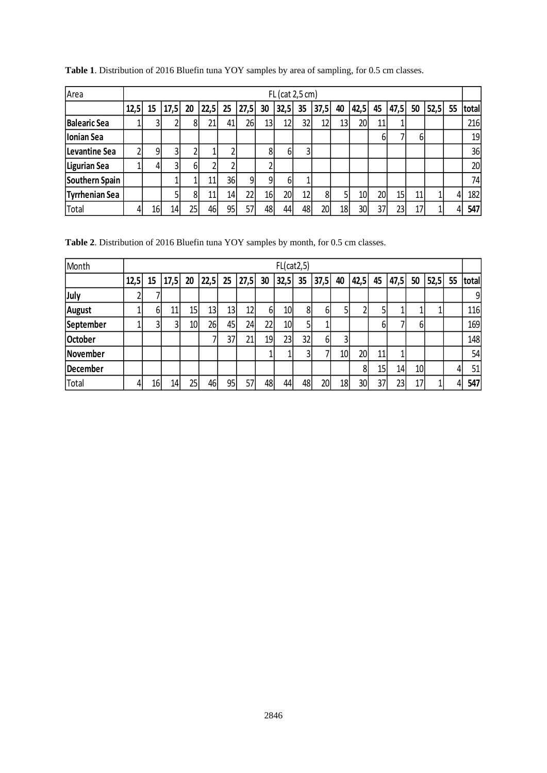| Area                  |      | FL (cat 2,5 cm) |      |    |      |    |      |    |                 |    |      |    |                 |    |                 |    |      |    |       |
|-----------------------|------|-----------------|------|----|------|----|------|----|-----------------|----|------|----|-----------------|----|-----------------|----|------|----|-------|
|                       | 12,5 | 15              | 17,5 | 20 | 22,5 | 25 | 27,5 | 30 | 32,5            | 35 | 37,5 | 40 | 42,5            | 45 | 47,5            | 50 | 52,5 | 55 | total |
| <b>Balearic Sea</b>   |      |                 |      | 8  | 21   | 41 | 26   | 13 | 12              | 32 | 12   | 13 | 20              |    |                 |    |      |    | 216   |
| Ionian Sea            |      |                 |      |    |      |    |      |    |                 |    |      |    |                 | 6  |                 | 6. |      |    | 19    |
| Levantine Sea         |      | 9               | 3    |    |      |    |      | 8  | 6               |    |      |    |                 |    |                 |    |      |    | 36    |
| Ligurian Sea          |      | 4               | 3    | 61 |      |    |      |    |                 |    |      |    |                 |    |                 |    |      |    | 20    |
| Southern Spain        |      |                 |      |    | 11   | 36 | 9    | 9  | 6 <sup>1</sup>  |    |      |    |                 |    |                 |    |      |    | 74    |
| <b>Tyrrhenian Sea</b> |      |                 |      | 8  | 11   | 14 | 22   | 16 | 20 <sup>1</sup> | 12 | 8    | 5  | 10 <sub>l</sub> | 20 | 15 <sub>l</sub> | 11 |      | 4  | 182   |
| Total                 |      | 16              | 14   | 25 | 46   | 95 |      | 48 | 44              | 48 | 20   | 18 | 30              | 37 | 23              | 17 |      |    | 547   |

**Table 1**. Distribution of 2016 Bluefin tuna YOY samples by area of sampling, for 0.5 cm classes.

**Table 2**. Distribution of 2016 Bluefin tuna YOY samples by month, for 0.5 cm classes.

| Month         | FL(cat2,5) |                 |      |                 |      |                 |      |          |                 |    |          |                 |                 |    |      |                 |      |    |       |
|---------------|------------|-----------------|------|-----------------|------|-----------------|------|----------|-----------------|----|----------|-----------------|-----------------|----|------|-----------------|------|----|-------|
|               | 12,5       | 15              | 17,5 | 20              | 22,5 | 25              | 27,5 | 30       | 32,5            | 35 | 37,5     | 40              | 42,5            | 45 | 47,5 | 50              | 52,5 | 55 | total |
| July          |            |                 |      |                 |      |                 |      |          |                 |    |          |                 |                 |    |      |                 |      |    | 9     |
| <b>August</b> |            | 61              | 11   | 15              | 13   | 13              | 12   | $6 \mid$ | 10 <sup>1</sup> | 81 | 61       | 5               |                 |    |      |                 |      |    | 116   |
| September     |            | 3               | 31   | 10 <sub>l</sub> | 26   | 45              | 24   | 22       | 10              |    |          |                 |                 | 6  |      | 61              |      |    | 169   |
| October       |            |                 |      |                 |      | 37              | 21   | 19       | 23              | 32 | $6 \mid$ | 3               |                 |    |      |                 |      |    | 148   |
| November      |            |                 |      |                 |      |                 |      |          |                 |    | ۰,       | 10 <sup>1</sup> | 20 <sub>l</sub> | 11 |      |                 |      |    | 54    |
| December      |            |                 |      |                 |      |                 |      |          |                 |    |          |                 | 8               | 15 | 14   | 10 <sub>l</sub> |      |    | 51    |
| Total         |            | 16 <sup>1</sup> | 14   | 25              | 46   | 95 <sub>1</sub> | 57   | 48       | 44              | 48 | 20       | 18              | 30              | 37 | 23   | 17              |      |    | 547   |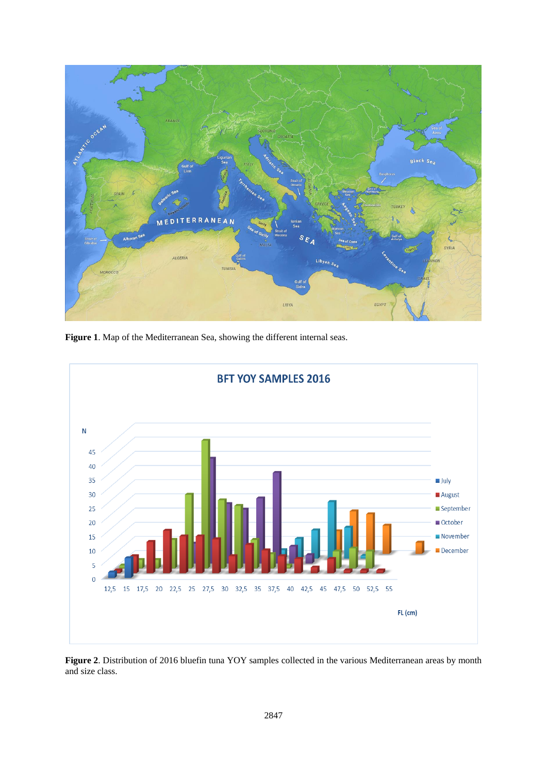

**Figure 1**. Map of the Mediterranean Sea, showing the different internal seas.



**Figure 2**. Distribution of 2016 bluefin tuna YOY samples collected in the various Mediterranean areas by month and size class.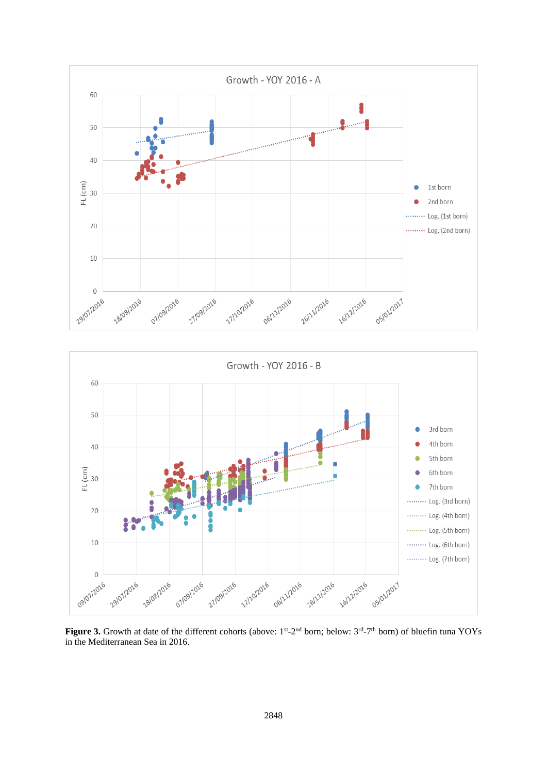

Figure 3. Growth at date of the different cohorts (above: 1<sup>st</sup>-2<sup>nd</sup> born; below: 3<sup>rd</sup>-7<sup>th</sup> born) of bluefin tuna YOYs in the Mediterranean Sea in 2016.